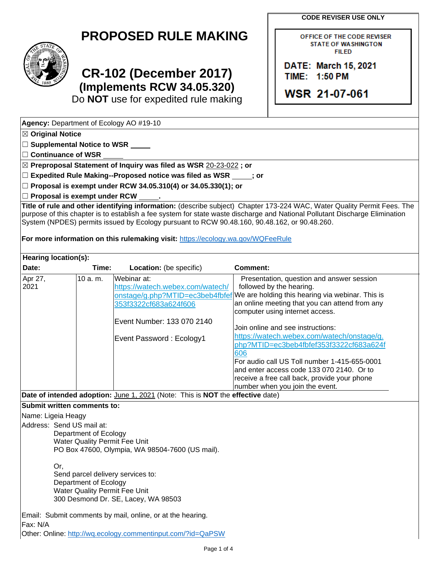**CODE REVISER USE ONLY**

OFFICE OF THE CODE REVISER **STATE OF WASHINGTON FILED** 

DATE: March 15, 2021

WSR 21-07-061

TIME: 1:50 PM

**PROPOSED RULE MAKING**



## **CR-102 (December 2017) (Implements RCW 34.05.320)**

Do **NOT** use for expedited rule making

**Agency:** Department of Ecology AO #19-10

☒ **Original Notice**

☐ **Supplemental Notice to WSR**

☐ **Continuance of WSR**

☒ **Preproposal Statement of Inquiry was filed as WSR** 20-23-022 **; or**

☐ **Expedited Rule Making--Proposed notice was filed as WSR ; or**

☐ **Proposal is exempt under RCW 34.05.310(4) or 34.05.330(1); or**

☐ **Proposal is exempt under RCW .**

**Title of rule and other identifying information:** (describe subject) Chapter 173-224 WAC, Water Quality Permit Fees. The purpose of this chapter is to establish a fee system for state waste discharge and National Pollutant Discharge Elimination System (NPDES) permits issued by Ecology pursuant to RCW 90.48.160, 90.48.162, or 90.48.260.

**For more information on this rulemaking visit:** <https://ecology.wa.gov/WQFeeRule>

| <b>Hearing location(s):</b> |            |                                                                          |                                                                                                                                                                                                                                                                                  |  |  |
|-----------------------------|------------|--------------------------------------------------------------------------|----------------------------------------------------------------------------------------------------------------------------------------------------------------------------------------------------------------------------------------------------------------------------------|--|--|
| Date:                       | Time:      | <b>Location:</b> (be specific)                                           | Comment:                                                                                                                                                                                                                                                                         |  |  |
| Apr 27,<br>2021             | $10a$ . m. | Webinar at:<br>https://watech.webex.com/watech/<br>353f3322cf683a624f606 | Presentation, question and answer session<br>followed by the hearing.<br>onstage/g.php?MTID=ec3beb4fbfef We are holding this hearing via webinar. This is<br>an online meeting that you can attend from any<br>computer using internet access.                                   |  |  |
|                             |            | Event Number: 133 070 2140<br>Event Password: Ecology1                   | Join online and see instructions:<br>https://watech.webex.com/watech/onstage/g.<br>php?MTID=ec3beb4fbfef353f3322cf683a624f<br>606<br>lFor audio call US Toll number 1-415-655-0001<br>land enter access code 133 070 2140. Or to<br>receive a free call back, provide your phone |  |  |
|                             | .          | ___________<br>1.00011111                                                | number when you join the event.<br>$\cdots$                                                                                                                                                                                                                                      |  |  |

**Date of intended adoption:** June 1, 2021 (Note: This is **NOT** the **effective** date)

## **Submit written comments to:**

Name: Ligeia Heagy

Address: Send US mail at: Department of Ecology Water Quality Permit Fee Unit PO Box 47600, Olympia, WA 98504-7600 (US mail).

> Or, Send parcel delivery services to: Department of Ecology Water Quality Permit Fee Unit 300 Desmond Dr. SE, Lacey, WA 98503

Email: Submit comments by mail, online, or at the hearing. Fax: N/A

Other: Online: <http://wq.ecology.commentinput.com/?id=QaPSW>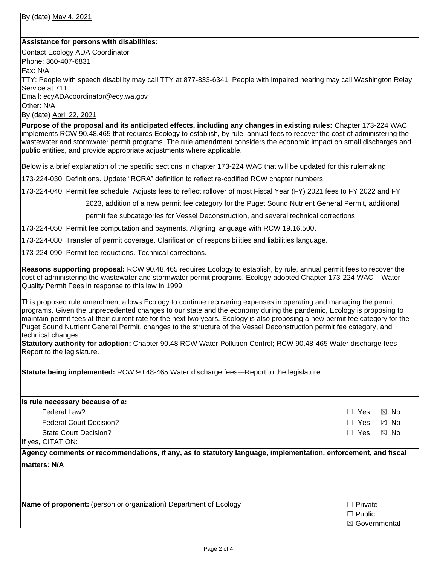By (date) May 4, 2021

## **Assistance for persons with disabilities:**

Contact Ecology ADA Coordinator Phone: 360-407-6831 Fax: N/A TTY: People with speech disability may call TTY at 877-833-6341. People with impaired hearing may call Washington Relay Service at 711. Email: ecyADAcoordinator@ecy.wa.gov Other: N/A By (date) April 22, 2021

**Purpose of the proposal and its anticipated effects, including any changes in existing rules:** Chapter 173-224 WAC implements RCW 90.48.465 that requires Ecology to establish, by rule, annual fees to recover the cost of administering the wastewater and stormwater permit programs. The rule amendment considers the economic impact on small discharges and public entities, and provide appropriate adjustments where applicable.

Below is a brief explanation of the specific sections in chapter 173-224 WAC that will be updated for this rulemaking:

173-224-030 Definitions. Update "RCRA" definition to reflect re-codified RCW chapter numbers.

173-224-040 Permit fee schedule. Adjusts fees to reflect rollover of most Fiscal Year (FY) 2021 fees to FY 2022 and FY

2023, addition of a new permit fee category for the Puget Sound Nutrient General Permit, additional

permit fee subcategories for Vessel Deconstruction, and several technical corrections.

173-224-050 Permit fee computation and payments. Aligning language with RCW 19.16.500.

173-224-080 Transfer of permit coverage. Clarification of responsibilities and liabilities language.

173-224-090 Permit fee reductions. Technical corrections.

**Reasons supporting proposal:** RCW 90.48.465 requires Ecology to establish, by rule, annual permit fees to recover the cost of administering the wastewater and stormwater permit programs. Ecology adopted Chapter 173-224 WAC – Water Quality Permit Fees in response to this law in 1999.

This proposed rule amendment allows Ecology to continue recovering expenses in operating and managing the permit programs. Given the unprecedented changes to our state and the economy during the pandemic, Ecology is proposing to maintain permit fees at their current rate for the next two years. Ecology is also proposing a new permit fee category for the Puget Sound Nutrient General Permit, changes to the structure of the Vessel Deconstruction permit fee category, and technical changes.

**Statutory authority for adoption:** Chapter 90.48 RCW Water Pollution Control; RCW 90.48-465 Water discharge fees— Report to the legislature.

**Statute being implemented:** RCW 90.48-465 Water discharge fees—Report to the legislature.

| Is rule necessary because of a:                                                                               |                          |                |  |  |  |
|---------------------------------------------------------------------------------------------------------------|--------------------------|----------------|--|--|--|
| Federal Law?                                                                                                  | Yes<br>П                 | $\boxtimes$ No |  |  |  |
| <b>Federal Court Decision?</b>                                                                                | Yes<br>П                 | $\boxtimes$ No |  |  |  |
| State Court Decision?                                                                                         | $\Box$ Yes               | $\boxtimes$ No |  |  |  |
| If yes, CITATION:                                                                                             |                          |                |  |  |  |
| Agency comments or recommendations, if any, as to statutory language, implementation, enforcement, and fiscal |                          |                |  |  |  |
| <b>Imatters: N/A</b>                                                                                          |                          |                |  |  |  |
|                                                                                                               |                          |                |  |  |  |
|                                                                                                               |                          |                |  |  |  |
|                                                                                                               |                          |                |  |  |  |
| Name of proponent: (person or organization) Department of Ecology                                             |                          | $\Box$ Private |  |  |  |
|                                                                                                               | $\Box$ Public            |                |  |  |  |
|                                                                                                               | $\boxtimes$ Governmental |                |  |  |  |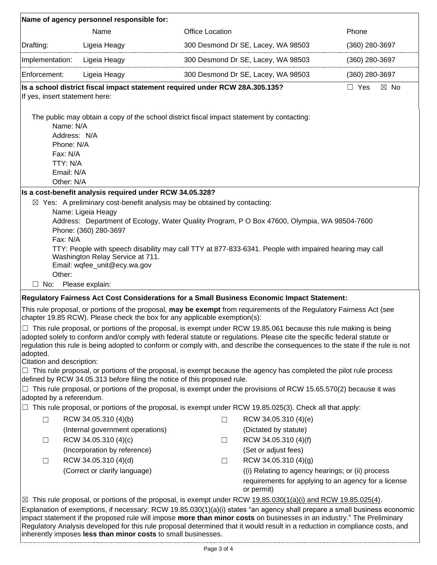| Name of agency personnel responsible for:                                                                                                                                                                                                           |                                                                                                                                                                                                   |                        |                                                   |                                                      |  |  |
|-----------------------------------------------------------------------------------------------------------------------------------------------------------------------------------------------------------------------------------------------------|---------------------------------------------------------------------------------------------------------------------------------------------------------------------------------------------------|------------------------|---------------------------------------------------|------------------------------------------------------|--|--|
|                                                                                                                                                                                                                                                     | Name                                                                                                                                                                                              | <b>Office Location</b> |                                                   | Phone                                                |  |  |
| Drafting:                                                                                                                                                                                                                                           | Ligeia Heagy                                                                                                                                                                                      |                        | 300 Desmond Dr SE, Lacey, WA 98503                | (360) 280-3697                                       |  |  |
| Implementation:                                                                                                                                                                                                                                     | Ligeia Heagy                                                                                                                                                                                      |                        | 300 Desmond Dr SE, Lacey, WA 98503                | $(360)$ 280-3697                                     |  |  |
| Enforcement:                                                                                                                                                                                                                                        | Ligeia Heagy                                                                                                                                                                                      |                        | 300 Desmond Dr SE, Lacey, WA 98503                | $(360)$ 280-3697                                     |  |  |
|                                                                                                                                                                                                                                                     | Is a school district fiscal impact statement required under RCW 28A.305.135?                                                                                                                      |                        |                                                   | $\Box$ Yes<br>$\boxtimes$ No                         |  |  |
| If yes, insert statement here:                                                                                                                                                                                                                      |                                                                                                                                                                                                   |                        |                                                   |                                                      |  |  |
|                                                                                                                                                                                                                                                     | The public may obtain a copy of the school district fiscal impact statement by contacting:                                                                                                        |                        |                                                   |                                                      |  |  |
| Name: N/A                                                                                                                                                                                                                                           |                                                                                                                                                                                                   |                        |                                                   |                                                      |  |  |
| Address: N/A                                                                                                                                                                                                                                        |                                                                                                                                                                                                   |                        |                                                   |                                                      |  |  |
| Phone: N/A                                                                                                                                                                                                                                          |                                                                                                                                                                                                   |                        |                                                   |                                                      |  |  |
| Fax: N/A                                                                                                                                                                                                                                            |                                                                                                                                                                                                   |                        |                                                   |                                                      |  |  |
| TTY: N/A                                                                                                                                                                                                                                            |                                                                                                                                                                                                   |                        |                                                   |                                                      |  |  |
| Email: N/A<br>Other: N/A                                                                                                                                                                                                                            |                                                                                                                                                                                                   |                        |                                                   |                                                      |  |  |
|                                                                                                                                                                                                                                                     | Is a cost-benefit analysis required under RCW 34.05.328?                                                                                                                                          |                        |                                                   |                                                      |  |  |
|                                                                                                                                                                                                                                                     | $\boxtimes$ Yes: A preliminary cost-benefit analysis may be obtained by contacting:                                                                                                               |                        |                                                   |                                                      |  |  |
|                                                                                                                                                                                                                                                     | Name: Ligeia Heagy                                                                                                                                                                                |                        |                                                   |                                                      |  |  |
|                                                                                                                                                                                                                                                     | Address: Department of Ecology, Water Quality Program, P O Box 47600, Olympia, WA 98504-7600                                                                                                      |                        |                                                   |                                                      |  |  |
|                                                                                                                                                                                                                                                     | Phone: (360) 280-3697                                                                                                                                                                             |                        |                                                   |                                                      |  |  |
| Fax: N/A                                                                                                                                                                                                                                            |                                                                                                                                                                                                   |                        |                                                   |                                                      |  |  |
|                                                                                                                                                                                                                                                     | TTY: People with speech disability may call TTY at 877-833-6341. People with impaired hearing may call                                                                                            |                        |                                                   |                                                      |  |  |
|                                                                                                                                                                                                                                                     | Washington Relay Service at 711.                                                                                                                                                                  |                        |                                                   |                                                      |  |  |
| Other:                                                                                                                                                                                                                                              | Email: wqfee_unit@ecy.wa.gov                                                                                                                                                                      |                        |                                                   |                                                      |  |  |
| $\Box$ No:                                                                                                                                                                                                                                          | Please explain:                                                                                                                                                                                   |                        |                                                   |                                                      |  |  |
|                                                                                                                                                                                                                                                     | Regulatory Fairness Act Cost Considerations for a Small Business Economic Impact Statement:                                                                                                       |                        |                                                   |                                                      |  |  |
|                                                                                                                                                                                                                                                     | This rule proposal, or portions of the proposal, may be exempt from requirements of the Regulatory Fairness Act (see<br>chapter 19.85 RCW). Please check the box for any applicable exemption(s): |                        |                                                   |                                                      |  |  |
|                                                                                                                                                                                                                                                     | This rule proposal, or portions of the proposal, is exempt under RCW 19.85.061 because this rule making is being                                                                                  |                        |                                                   |                                                      |  |  |
|                                                                                                                                                                                                                                                     | adopted solely to conform and/or comply with federal statute or regulations. Please cite the specific federal statute or                                                                          |                        |                                                   |                                                      |  |  |
|                                                                                                                                                                                                                                                     | regulation this rule is being adopted to conform or comply with, and describe the consequences to the state if the rule is not                                                                    |                        |                                                   |                                                      |  |  |
| adopted.<br>Citation and description:                                                                                                                                                                                                               |                                                                                                                                                                                                   |                        |                                                   |                                                      |  |  |
|                                                                                                                                                                                                                                                     | This rule proposal, or portions of the proposal, is exempt because the agency has completed the pilot rule process                                                                                |                        |                                                   |                                                      |  |  |
|                                                                                                                                                                                                                                                     | defined by RCW 34.05.313 before filing the notice of this proposed rule.                                                                                                                          |                        |                                                   |                                                      |  |  |
|                                                                                                                                                                                                                                                     | This rule proposal, or portions of the proposal, is exempt under the provisions of RCW 15.65.570(2) because it was                                                                                |                        |                                                   |                                                      |  |  |
| adopted by a referendum.                                                                                                                                                                                                                            | This rule proposal, or portions of the proposal, is exempt under RCW 19.85.025(3). Check all that apply:                                                                                          |                        |                                                   |                                                      |  |  |
|                                                                                                                                                                                                                                                     |                                                                                                                                                                                                   |                        |                                                   |                                                      |  |  |
| $\Box$                                                                                                                                                                                                                                              | RCW 34.05.310 (4)(b)                                                                                                                                                                              | □                      | RCW 34.05.310 (4)(e)                              |                                                      |  |  |
|                                                                                                                                                                                                                                                     | (Internal government operations)                                                                                                                                                                  |                        | (Dictated by statute)                             |                                                      |  |  |
| $\Box$                                                                                                                                                                                                                                              | RCW 34.05.310 (4)(c)                                                                                                                                                                              | □                      | RCW 34.05.310 (4)(f)                              |                                                      |  |  |
|                                                                                                                                                                                                                                                     | (Incorporation by reference)                                                                                                                                                                      |                        | (Set or adjust fees)                              |                                                      |  |  |
| $\Box$                                                                                                                                                                                                                                              | RCW 34.05.310 (4)(d)                                                                                                                                                                              | □                      | RCW 34.05.310 (4)(g)                              |                                                      |  |  |
|                                                                                                                                                                                                                                                     | (Correct or clarify language)                                                                                                                                                                     |                        | ((i) Relating to agency hearings; or (ii) process |                                                      |  |  |
|                                                                                                                                                                                                                                                     |                                                                                                                                                                                                   |                        | or permit)                                        | requirements for applying to an agency for a license |  |  |
| This rule proposal, or portions of the proposal, is exempt under RCW $19.85.030(1(a)(i)$ and RCW $19.85.025(4)$ .<br>⊠<br>Explanation of exemptions, if necessary: RCW 19.85.030(1)(a)(i) states "an agency shall prepare a small business economic |                                                                                                                                                                                                   |                        |                                                   |                                                      |  |  |
|                                                                                                                                                                                                                                                     | impact statement if the proposed rule will impose more than minor costs on businesses in an industry." The Preliminary                                                                            |                        |                                                   |                                                      |  |  |
|                                                                                                                                                                                                                                                     |                                                                                                                                                                                                   |                        |                                                   |                                                      |  |  |
| Regulatory Analysis developed for this rule proposal determined that it would result in a reduction in compliance costs, and<br>inherently imposes less than minor costs to small businesses.                                                       |                                                                                                                                                                                                   |                        |                                                   |                                                      |  |  |